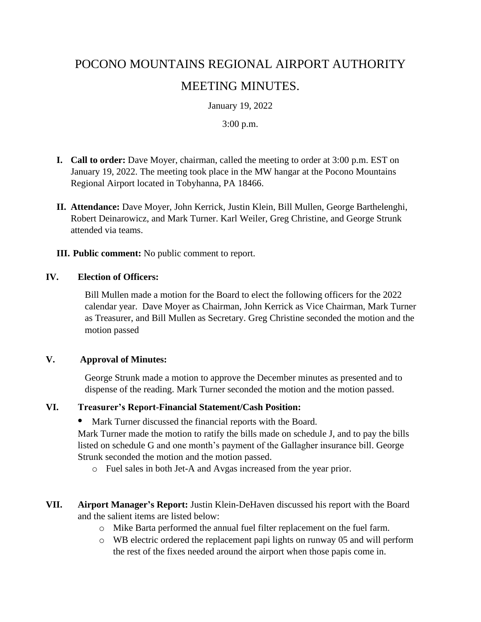# POCONO MOUNTAINS REGIONAL AIRPORT AUTHORITY MEETING MINUTES.

January 19, 2022

#### 3:00 p.m.

- **I. Call to order:** Dave Moyer, chairman, called the meeting to order at 3:00 p.m. EST on January 19, 2022. The meeting took place in the MW hangar at the Pocono Mountains Regional Airport located in Tobyhanna, PA 18466.
- **II. Attendance:** Dave Moyer, John Kerrick, Justin Klein, Bill Mullen, George Barthelenghi, Robert Deinarowicz, and Mark Turner. Karl Weiler, Greg Christine, and George Strunk attended via teams.
- **III. Public comment:** No public comment to report.

#### **IV. Election of Officers:**

Bill Mullen made a motion for the Board to elect the following officers for the 2022 calendar year. Dave Moyer as Chairman, John Kerrick as Vice Chairman, Mark Turner as Treasurer, and Bill Mullen as Secretary. Greg Christine seconded the motion and the motion passed

#### **V. Approval of Minutes:**

George Strunk made a motion to approve the December minutes as presented and to dispense of the reading. Mark Turner seconded the motion and the motion passed.

#### **VI. Treasurer's Report-Financial Statement/Cash Position:**

**•** Mark Turner discussed the financial reports with the Board.

Mark Turner made the motion to ratify the bills made on schedule J, and to pay the bills listed on schedule G and one month's payment of the Gallagher insurance bill. George Strunk seconded the motion and the motion passed.

- o Fuel sales in both Jet-A and Avgas increased from the year prior.
- **VII. Airport Manager's Report:** Justin Klein-DeHaven discussed his report with the Board and the salient items are listed below:
	- o Mike Barta performed the annual fuel filter replacement on the fuel farm.
	- o WB electric ordered the replacement papi lights on runway 05 and will perform the rest of the fixes needed around the airport when those papis come in.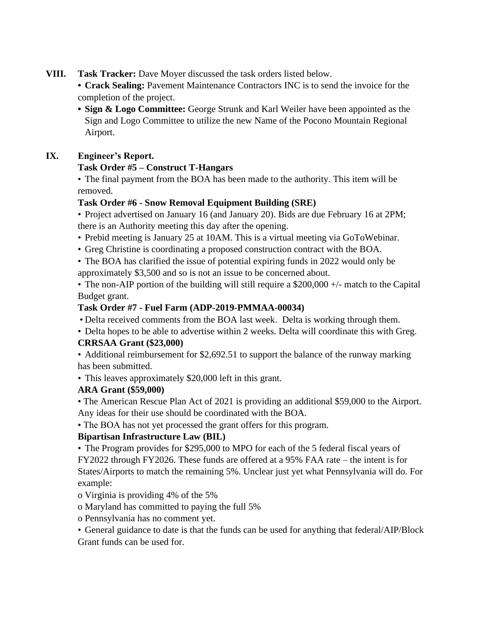- **VIII. Task Tracker:** Dave Moyer discussed the task orders listed below.
	- **Crack Sealing:** Pavement Maintenance Contractors INC is to send the invoice for the completion of the project.
	- **• Sign & Logo Committee:** George Strunk and Karl Weiler have been appointed as the Sign and Logo Committee to utilize the new Name of the Pocono Mountain Regional Airport.

## **IX. Engineer's Report.**

## **Task Order #5 – Construct T-Hangars**

• The final payment from the BOA has been made to the authority. This item will be removed.

## **Task Order #6 - Snow Removal Equipment Building (SRE)**

- Project advertised on January 16 (and January 20). Bids are due February 16 at 2PM; there is an Authority meeting this day after the opening.
- Prebid meeting is January 25 at 10AM. This is a virtual meeting via GoToWebinar.
- Greg Christine is coordinating a proposed construction contract with the BOA.
- The BOA has clarified the issue of potential expiring funds in 2022 would only be approximately \$3,500 and so is not an issue to be concerned about.

• The non-AIP portion of the building will still require a \$200,000 +/- match to the Capital Budget grant.

## **Task Order #7 - Fuel Farm (ADP-2019-PMMAA-00034)**

- Delta received comments from the BOA last week. Delta is working through them.
- Delta hopes to be able to advertise within 2 weeks. Delta will coordinate this with Greg. **CRRSAA Grant (\$23,000)**

• Additional reimbursement for \$2,692.51 to support the balance of the runway marking has been submitted.

• This leaves approximately \$20,000 left in this grant.

# **ARA Grant (\$59,000)**

• The American Rescue Plan Act of 2021 is providing an additional \$59,000 to the Airport. Any ideas for their use should be coordinated with the BOA.

• The BOA has not yet processed the grant offers for this program.

# **Bipartisan Infrastructure Law (BIL)**

• The Program provides for \$295,000 to MPO for each of the 5 federal fiscal years of FY2022 through FY2026. These funds are offered at a 95% FAA rate – the intent is for States/Airports to match the remaining 5%. Unclear just yet what Pennsylvania will do. For example:

o Virginia is providing 4% of the 5%

- o Maryland has committed to paying the full 5%
- o Pennsylvania has no comment yet.
- General guidance to date is that the funds can be used for anything that federal/AIP/Block Grant funds can be used for.